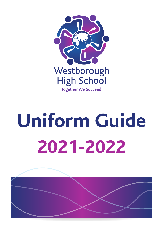

# **Uniform Guide 2021-2022**

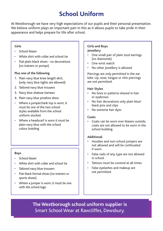# **School Uniform**

At Westborough we have very high expectations of our pupils and their personal presentation. We believe uniform plays an important part in this as it allows pupils to take pride in their appearance and helps prepare for life after school.

### **Girls**

- School blazer
- White shirt with collar and school tie
- Flat plain black shoes no decorations (no trainers or pumps)

### **Plus one of the following**

- 1. Plain navy blue knee length skirt, (only navy blue tights are allowed)
- 2. Tailored navy blue trousers
- 3. Navy blue shalwar kameez
- 4. Plain navy blue pinafore dress
- Where a jumper/tank top is worn, it must be one of the two school styles available from the school uniform stockist
- Where a headscarf is worn it must be plain navy blue with the school colour braiding

# **Boys**

- School blazer
- White shirt with collar and school tie
- Tailored navy blue trousers
- Flat black formal shoes (no trainers or sports shoes)
- Where a jumper is worn, it must be one with the school logo

### **Girls and Boys Jewellery**

- One small pair of plain stud earrings (no diamonds)
- One wrist watch
- No other jewellery is allowed

Piercings are only permitted in the ear lobe. Lip, nose, tongue or chin piercings are not permitted.

### **Hair Styles**

- No lines or patterns shaved in hair or eyebrows
- No hair decorations only plain blue/ black pins and clips
- No extreme hair dyes

#### **Coats**

• Coats can be worn over blazers outside, coats are not allowed to be worn in the school building

# **Additional**

- Hoodies and non-school jumpers are not allowed and will be confiscated if worn
- False nails of any type are not allowed in school
- Tattoos must be covered at all times
- False eyelashes and makeup are not permitted

**The Westborough school uniform supplier is**  Smart School Wear at Rawcliffes, Dewsbury.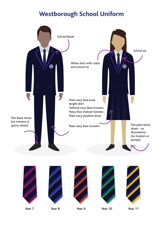# **Westborough School Uniform**

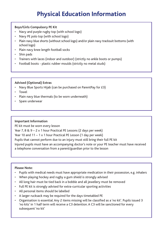# **Physical Education Information**

# **Boys/Girls Compulsory PE Kit**

- Navy and purple rugby top (with school logo)
- Navy PE polo top (with school logo)
- Plain navy blue shorts (without school logo) and/or plain navy tracksuit bottoms (with school logo)
- Plain navy knee length football socks
- Shin pads
- Trainers with laces (indoor and outdoor) (strictly no ankle boots or pumps)
- Football boots plastic rubber moulds (strictly no metal studs)

# **Advised (Optional) Extras**

- Navy Blue Sports Hijab (can be purchased on ParentPay for £3)
- Towel
- Plain navy blue thermals (to be worn underneath)
- Spare underwear

# **Important Information**

PE kit must be worn every lesson

Year 7, 8 & 9 – 2 x 1 hour Practical PE Lessons (2 days per week)

Year 10 and  $11 - 1 \times 1$  hour Practical PE Lesson (1 day per week)

Pupils that cannot perform due to an injury must still bring their full PE kit

Injured pupils must have an accompanying doctor's note or your PE teacher must have received a telephone conversation from a parent/guardian prior to the lesson

# **Please Note:**

- Pupils with medical needs must have appropriate medication in their possession, e.g. inhalers
- When playing hockey and rugby a gum shield is strongly advised
- All long hair must be tied back in a bobble and all jewellery must be removed
- Full PE kit is strongly advised for extra-curricular sporting activities
- All personal items should be labelled
- A larger rucksack may be required for the days timetabled PE
- Organisation is essential. Any 2 items missing will be classified as a 'no kit'. Pupils issued 3 'no kits' in 1 half term will receive a C3 detention. A C3 will be sanctioned for every subsequent 'no kit'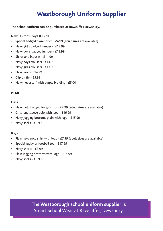# **Westborough Uniform Supplier**

#### **The school uniform can be purchased at Rawcliffes Dewsbury.**

## **New Uniform Boys & Girls**

- Special badged blazer from £24.99 (adult sizes are available)
- Navy girl's badged jumper £13.99
- Navy boy's badged jumper £13.99
- Shirts and blouses £11.99
- Navy boys trousers £14.99
- Navy girl's trousers £13.00
- Navy skirt £14.99
- Clip on tie £5.99
- Navy headscarf with purple braiding £5.00

#### **PE Kit**

### **Girls**

- Navy polo badged for girls from £7.99 (adult sizes are available)
- Girls long sleeve polo with logo £16.99
- Navy jogging bottoms plain with logo £15.99
- Navy socks £3.99

# **Boys**

- Plain navy polo shirt with logo £7.99 (adult sizes are available)
- Special rugby or football top £17.99
- Navy shorts £3.99
- Plain jogging bottoms with logo £15.99
- Navy socks £3.99

**The Westborough school uniform supplier is**  Smart School Wear at Rawcliffes, Dewsbury.